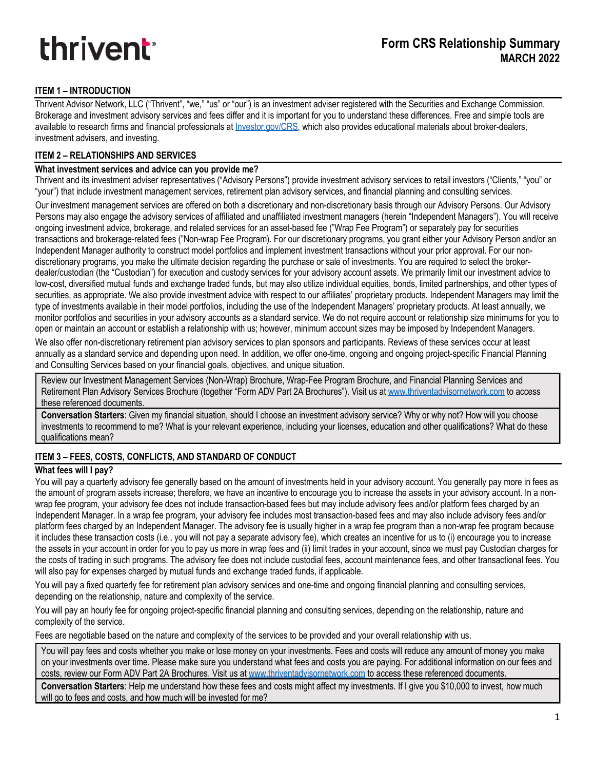# **thrivent**<sup>®</sup>

# **ITEM 1 – INTRODUCTION**

Thrivent Advisor Network, LLC ("Thrivent", "we," "us" or "our") is an investment adviser registered with the Securities and Exchange Commission. Brokerage and investment advisory services and fees differ and it is important for you to understand these differences. Free and simple tools are available to research firms and financial professionals at *Investor.gov/CRS*, which also provides educational materials about broker-dealers, investment advisers, and investing.

# **ITEM 2 – RELATIONSHIPS AND SERVICES**

#### **What investment services and advice can you provide me?**

Thrivent and its investment adviser representatives ("Advisory Persons") provide investment advisory services to retail investors ("Clients," "you" or "your") that include investment management services, retirement plan advisory services, and financial planning and consulting services.

Our investment management services are offered on both a discretionary and non-discretionary basis through our Advisory Persons. Our Advisory Persons may also engage the advisory services of affiliated and unaffiliated investment managers (herein "Independent Managers"). You will receive ongoing investment advice, brokerage, and related services for an asset-based fee ("Wrap Fee Program") or separately pay for securities transactions and brokerage-related fees ("Non-wrap Fee Program). For our discretionary programs, you grant either your Advisory Person and/or an Independent Manager authority to construct model portfolios and implement investment transactions without your prior approval. For our nondiscretionary programs, you make the ultimate decision regarding the purchase or sale of investments. You are required to select the brokerdealer/custodian (the "Custodian") for execution and custody services for your advisory account assets. We primarily limit our investment advice to low-cost, diversified mutual funds and exchange traded funds, but may also utilize individual equities, bonds, limited partnerships, and other types of securities, as appropriate. We also provide investment advice with respect to our affiliates' proprietary products. Independent Managers may limit the type of investments available in their model portfolios, including the use of the Independent Managers' proprietary products. At least annually, we monitor portfolios and securities in your advisory accounts as a standard service. We do not require account or relationship size minimums for you to open or maintain an account or establish a relationship with us; however, minimum account sizes may be imposed by Independent Managers.

We also offer non-discretionary retirement plan advisory services to plan sponsors and participants. Reviews of these services occur at least annually as a standard service and depending upon need. In addition, we offer one-time, ongoing and ongoing project-specific Financial Planning and Consulting Services based on your financial goals, objectives, and unique situation.

Review our Investment Management Services (Non-Wrap) Brochure, Wrap-Fee Program Brochure, and Financial Planning Services and Retirement Plan Advisory Services Brochure (together "Form ADV Part 2A Brochures"). Visit us at www.thriventadvisornetwork.com to access these referenced documents.

**Conversation Starters**: Given my financial situation, should I choose an investment advisory service? Why or why not? How will you choose investments to recommend to me? What is your relevant experience, including your licenses, education and other qualifications? What do these qualifications mean?

# **ITEM 3 – FEES, COSTS, CONFLICTS, AND STANDARD OF CONDUCT**

#### **What fees will I pay?**

You will pay a quarterly advisory fee generally based on the amount of investments held in your advisory account. You generally pay more in fees as the amount of program assets increase; therefore, we have an incentive to encourage you to increase the assets in your advisory account. In a nonwrap fee program, your advisory fee does not include transaction-based fees but may include advisory fees and/or platform fees charged by an Independent Manager. In a wrap fee program, your advisory fee includes most transaction-based fees and may also include advisory fees and/or platform fees charged by an Independent Manager. The advisory fee is usually higher in a wrap fee program than a non-wrap fee program because it includes these transaction costs (i.e., you will not pay a separate advisory fee), which creates an incentive for us to (i) encourage you to increase the assets in your account in order for you to pay us more in wrap fees and (ii) limit trades in your account, since we must pay Custodian charges for the costs of trading in such programs. The advisory fee does not include custodial fees, account maintenance fees, and other transactional fees. You will also pay for expenses charged by mutual funds and exchange traded funds, if applicable.

You will pay a fixed quarterly fee for retirement plan advisory services and one-time and ongoing financial planning and consulting services, depending on the relationship, nature and complexity of the service.

You will pay an hourly fee for ongoing project-specific financial planning and consulting services, depending on the relationship, nature and complexity of the service.

Fees are negotiable based on the nature and complexity of the services to be provided and your overall relationship with us.

You will pay fees and costs whether you make or lose money on your investments. Fees and costs will reduce any amount of money you make on your investments over time. Please make sure you understand what fees and costs you are paying. For additional information on our fees and costs, review our Form ADV Part 2A Brochures. Visit us at www.thriventadvisornetwork.com to access these referenced documents.

**Conversation Starters**: Help me understand how these fees and costs might affect my investments. If I give you \$10,000 to invest, how much will go to fees and costs, and how much will be invested for me?